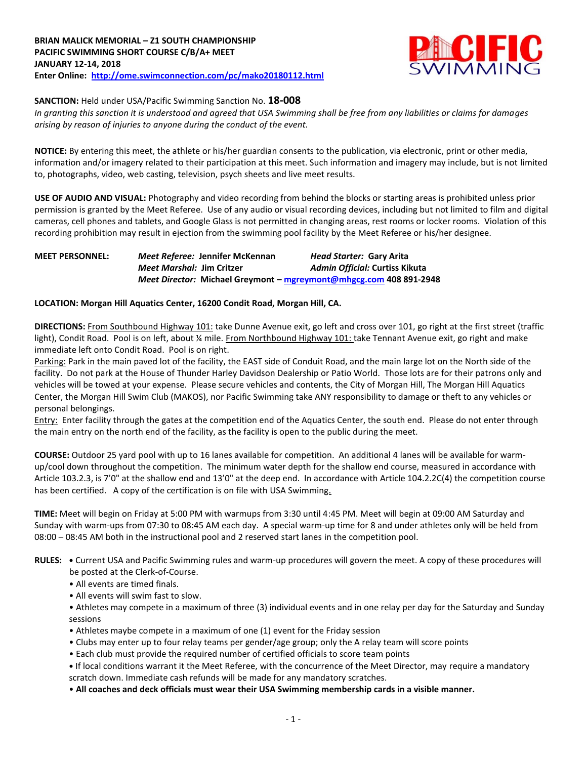

## **SANCTION:** Held under USA/Pacific Swimming Sanction No. **18-008**

*In granting this sanction it is understood and agreed that USA Swimming shall be free from any liabilities or claims for damages arising by reason of injuries to anyone during the conduct of the event.*

**NOTICE:** By entering this meet, the athlete or his/her guardian consents to the publication, via electronic, print or other media, information and/or imagery related to their participation at this meet. Such information and imagery may include, but is not limited to, photographs, video, web casting, television, psych sheets and live meet results.

**USE OF AUDIO AND VISUAL:** Photography and video recording from behind the blocks or starting areas is prohibited unless prior permission is granted by the Meet Referee. Use of any audio or visual recording devices, including but not limited to film and digital cameras, cell phones and tablets, and Google Glass is not permitted in changing areas, rest rooms or locker rooms. Violation of this recording prohibition may result in ejection from the swimming pool facility by the Meet Referee or his/her designee.

# **MEET PERSONNEL:** *Meet Referee:* **Jennifer McKennan** *Head Starter:* **Gary Arita** *Meet Marshal:* **Jim Critzer** *Admin Official:* **Curtiss Kikuta** *Meet Director:* **Michael Greymont – [mgreymont@mhgcg.com](mailto:mgreymont@mhgcg.com) 408 891-2948**

## **LOCATION: Morgan Hill Aquatics Center, 16200 Condit Road, Morgan Hill, CA.**

**DIRECTIONS:** From Southbound Highway 101: take Dunne Avenue exit, go left and cross over 101, go right at the first street (traffic light), Condit Road. Pool is on left, about ¼ mile. From Northbound Highway 101: take Tennant Avenue exit, go right and make immediate left onto Condit Road. Pool is on right.

Parking: Park in the main paved lot of the facility, the EAST side of Conduit Road, and the main large lot on the North side of the facility. Do not park at the House of Thunder Harley Davidson Dealership or Patio World. Those lots are for their patrons only and vehicles will be towed at your expense. Please secure vehicles and contents, the City of Morgan Hill, The Morgan Hill Aquatics Center, the Morgan Hill Swim Club (MAKOS), nor Pacific Swimming take ANY responsibility to damage or theft to any vehicles or personal belongings.

Entry: Enter facility through the gates at the competition end of the Aquatics Center, the south end. Please do not enter through the main entry on the north end of the facility, as the facility is open to the public during the meet.

**COURSE:** Outdoor 25 yard pool with up to 16 lanes available for competition. An additional 4 lanes will be available for warmup/cool down throughout the competition. The minimum water depth for the shallow end course, measured in accordance with Article 103.2.3, is 7'0" at the shallow end and 13'0" at the deep end. In accordance with Article 104.2.2C(4) the competition course has been certified. A copy of the certification is on file with USA Swimming.

**TIME:** Meet will begin on Friday at 5:00 PM with warmups from 3:30 until 4:45 PM. Meet will begin at 09:00 AM Saturday and Sunday with warm-ups from 07:30 to 08:45 AM each day. A special warm-up time for 8 and under athletes only will be held from 08:00 – 08:45 AM both in the instructional pool and 2 reserved start lanes in the competition pool.

- **RULES: •** Current USA and Pacific Swimming rules and warm-up procedures will govern the meet. A copy of these procedures will be posted at the Clerk-of-Course.
	- All events are timed finals.
	- All events will swim fast to slow.
	- Athletes may compete in a maximum of three (3) individual events and in one relay per day for the Saturday and Sunday sessions
	- Athletes maybe compete in a maximum of one (1) event for the Friday session
	- Clubs may enter up to four relay teams per gender/age group; only the A relay team will score points
	- Each club must provide the required number of certified officials to score team points
	- **•** If local conditions warrant it the Meet Referee, with the concurrence of the Meet Director, may require a mandatory scratch down. Immediate cash refunds will be made for any mandatory scratches.
	- **All coaches and deck officials must wear their USA Swimming membership cards in a visible manner.**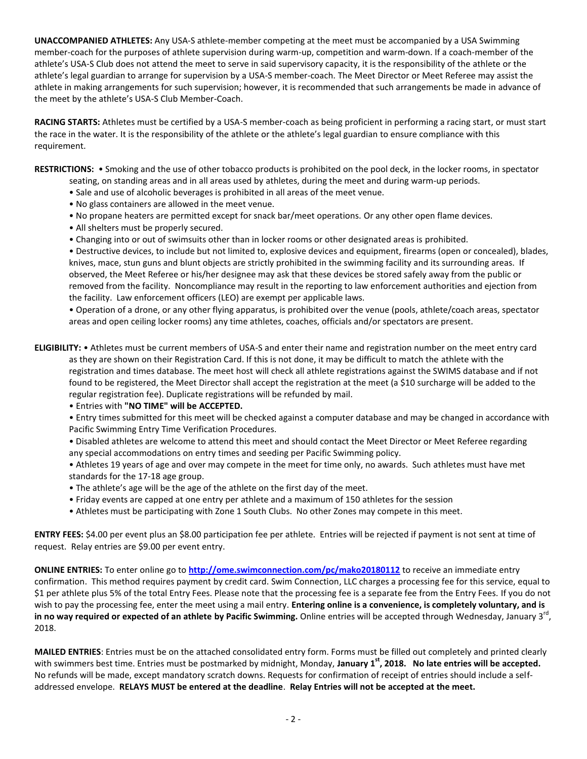**UNACCOMPANIED ATHLETES:** Any USA-S athlete-member competing at the meet must be accompanied by a USA Swimming member-coach for the purposes of athlete supervision during warm-up, competition and warm-down. If a coach-member of the athlete's USA-S Club does not attend the meet to serve in said supervisory capacity, it is the responsibility of the athlete or the athlete's legal guardian to arrange for supervision by a USA-S member-coach. The Meet Director or Meet Referee may assist the athlete in making arrangements for such supervision; however, it is recommended that such arrangements be made in advance of the meet by the athlete's USA-S Club Member-Coach.

**RACING STARTS:** Athletes must be certified by a USA-S member-coach as being proficient in performing a racing start, or must start the race in the water. It is the responsibility of the athlete or the athlete's legal guardian to ensure compliance with this requirement.

**RESTRICTIONS:** • Smoking and the use of other tobacco products is prohibited on the pool deck, in the locker rooms, in spectator seating, on standing areas and in all areas used by athletes, during the meet and during warm-up periods.

- Sale and use of alcoholic beverages is prohibited in all areas of the meet venue.
- No glass containers are allowed in the meet venue.
- No propane heaters are permitted except for snack bar/meet operations. Or any other open flame devices.
- All shelters must be properly secured.
- Changing into or out of swimsuits other than in locker rooms or other designated areas is prohibited.

• Destructive devices, to include but not limited to, explosive devices and equipment, firearms (open or concealed), blades, knives, mace, stun guns and blunt objects are strictly prohibited in the swimming facility and its surrounding areas. If observed, the Meet Referee or his/her designee may ask that these devices be stored safely away from the public or removed from the facility. Noncompliance may result in the reporting to law enforcement authorities and ejection from the facility. Law enforcement officers (LEO) are exempt per applicable laws.

• Operation of a drone, or any other flying apparatus, is prohibited over the venue (pools, athlete/coach areas, spectator areas and open ceiling locker rooms) any time athletes, coaches, officials and/or spectators are present.

**ELIGIBILITY:** • Athletes must be current members of USA-S and enter their name and registration number on the meet entry card as they are shown on their Registration Card. If this is not done, it may be difficult to match the athlete with the registration and times database. The meet host will check all athlete registrations against the SWIMS database and if not found to be registered, the Meet Director shall accept the registration at the meet (a \$10 surcharge will be added to the regular registration fee). Duplicate registrations will be refunded by mail.

• Entries with **"NO TIME" will be ACCEPTED.**

• Entry times submitted for this meet will be checked against a computer database and may be changed in accordance with Pacific Swimming Entry Time Verification Procedures.

• Disabled athletes are welcome to attend this meet and should contact the Meet Director or Meet Referee regarding any special accommodations on entry times and seeding per Pacific Swimming policy.

• Athletes 19 years of age and over may compete in the meet for time only, no awards. Such athletes must have met standards for the 17-18 age group.

- The athlete's age will be the age of the athlete on the first day of the meet.
- Friday events are capped at one entry per athlete and a maximum of 150 athletes for the session
- Athletes must be participating with Zone 1 South Clubs. No other Zones may compete in this meet.

**ENTRY FEES:** \$4.00 per event plus an \$8.00 participation fee per athlete. Entries will be rejected if payment is not sent at time of request. Relay entries are \$9.00 per event entry.

**ONLINE ENTRIES:** To enter online go to **<http://ome.swimconnection.com/pc/mako20180112>** to receive an immediate entry confirmation. This method requires payment by credit card. Swim Connection, LLC charges a processing fee for this service, equal to \$1 per athlete plus 5% of the total Entry Fees. Please note that the processing fee is a separate fee from the Entry Fees. If you do not wish to pay the processing fee, enter the meet using a mail entry. **Entering online is a convenience, is completely voluntary, and is**  in no way required or expected of an athlete by Pacific Swimming. Online entries will be accepted through Wednesday, January 3<sup>rd</sup>, 2018.

**MAILED ENTRIES**: Entries must be on the attached consolidated entry form. Forms must be filled out completely and printed clearly with swimmers best time. Entries must be postmarked by midnight, Monday, **January 1st, 2018. No late entries will be accepted.**  No refunds will be made, except mandatory scratch downs. Requests for confirmation of receipt of entries should include a selfaddressed envelope. **RELAYS MUST be entered at the deadline**. **Relay Entries will not be accepted at the meet.**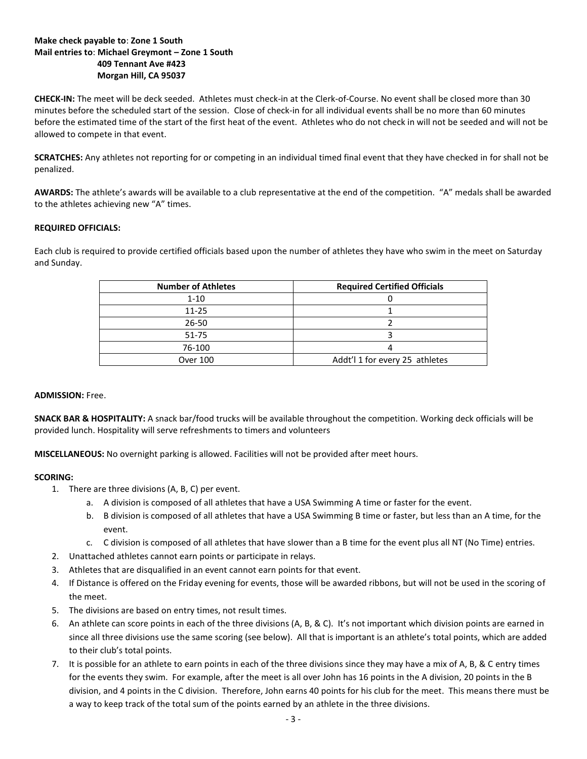## **Make check payable to**: **Zone 1 South Mail entries to**: **Michael Greymont – Zone 1 South 409 Tennant Ave #423 Morgan Hill, CA 95037**

**CHECK-IN:** The meet will be deck seeded. Athletes must check-in at the Clerk-of-Course. No event shall be closed more than 30 minutes before the scheduled start of the session. Close of check-in for all individual events shall be no more than 60 minutes before the estimated time of the start of the first heat of the event. Athletes who do not check in will not be seeded and will not be allowed to compete in that event.

**SCRATCHES:** Any athletes not reporting for or competing in an individual timed final event that they have checked in for shall not be penalized.

**AWARDS:** The athlete's awards will be available to a club representative at the end of the competition. "A" medals shall be awarded to the athletes achieving new "A" times.

### **REQUIRED OFFICIALS:**

Each club is required to provide certified officials based upon the number of athletes they have who swim in the meet on Saturday and Sunday.

| <b>Number of Athletes</b> | <b>Required Certified Officials</b> |
|---------------------------|-------------------------------------|
| $1 - 10$                  |                                     |
| $11 - 25$                 |                                     |
| $26 - 50$                 |                                     |
| $51 - 75$                 |                                     |
| 76-100                    |                                     |
| <b>Over 100</b>           | Addt'l 1 for every 25 athletes      |

#### **ADMISSION:** Free.

**SNACK BAR & HOSPITALITY:** A snack bar/food trucks will be available throughout the competition. Working deck officials will be provided lunch. Hospitality will serve refreshments to timers and volunteers

**MISCELLANEOUS:** No overnight parking is allowed. Facilities will not be provided after meet hours.

### **SCORING:**

- 1. There are three divisions (A, B, C) per event.
	- a. A division is composed of all athletes that have a USA Swimming A time or faster for the event.
	- b. B division is composed of all athletes that have a USA Swimming B time or faster, but less than an A time, for the event.
	- c. C division is composed of all athletes that have slower than a B time for the event plus all NT (No Time) entries.
- 2. Unattached athletes cannot earn points or participate in relays.
- 3. Athletes that are disqualified in an event cannot earn points for that event.
- 4. If Distance is offered on the Friday evening for events, those will be awarded ribbons, but will not be used in the scoring of the meet.
- 5. The divisions are based on entry times, not result times.
- 6. An athlete can score points in each of the three divisions (A, B, & C). It's not important which division points are earned in since all three divisions use the same scoring (see below). All that is important is an athlete's total points, which are added to their club's total points.
- 7. It is possible for an athlete to earn points in each of the three divisions since they may have a mix of A, B, & C entry times for the events they swim. For example, after the meet is all over John has 16 points in the A division, 20 points in the B division, and 4 points in the C division. Therefore, John earns 40 points for his club for the meet. This means there must be a way to keep track of the total sum of the points earned by an athlete in the three divisions.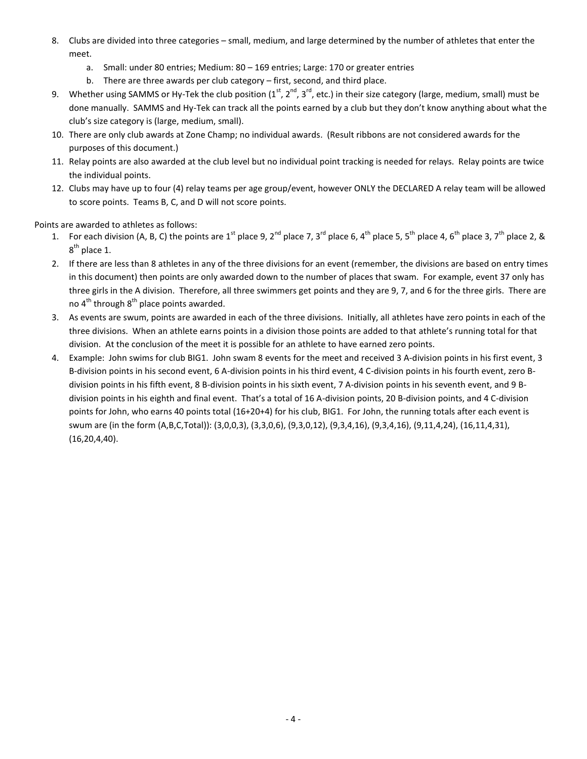- 8. Clubs are divided into three categories small, medium, and large determined by the number of athletes that enter the meet.
	- a. Small: under 80 entries; Medium: 80 169 entries; Large: 170 or greater entries
	- b. There are three awards per club category first, second, and third place.
- 9. Whether using SAMMS or Hy-Tek the club position  $(1^{st}, 2^{nd}, 3^{rd}, etc.)$  in their size category (large, medium, small) must be done manually. SAMMS and Hy-Tek can track all the points earned by a club but they don't know anything about what the club's size category is (large, medium, small).
- 10. There are only club awards at Zone Champ; no individual awards. (Result ribbons are not considered awards for the purposes of this document.)
- 11. Relay points are also awarded at the club level but no individual point tracking is needed for relays. Relay points are twice the individual points.
- 12. Clubs may have up to four (4) relay teams per age group/event, however ONLY the DECLARED A relay team will be allowed to score points. Teams B, C, and D will not score points.

Points are awarded to athletes as follows:

- 1. For each division (A, B, C) the points are 1<sup>st</sup> place 9, 2<sup>nd</sup> place 7, 3<sup>rd</sup> place 6, 4<sup>th</sup> place 5, 5<sup>th</sup> place 4, 6<sup>th</sup> place 3, 7<sup>th</sup> place 2, &  $8^{\text{th}}$  place 1.
- 2. If there are less than 8 athletes in any of the three divisions for an event (remember, the divisions are based on entry times in this document) then points are only awarded down to the number of places that swam. For example, event 37 only has three girls in the A division. Therefore, all three swimmers get points and they are 9, 7, and 6 for the three girls. There are no  $4^{th}$  through  $8^{th}$  place points awarded.
- 3. As events are swum, points are awarded in each of the three divisions. Initially, all athletes have zero points in each of the three divisions. When an athlete earns points in a division those points are added to that athlete's running total for that division. At the conclusion of the meet it is possible for an athlete to have earned zero points.
- 4. Example: John swims for club BIG1. John swam 8 events for the meet and received 3 A-division points in his first event, 3 B-division points in his second event, 6 A-division points in his third event, 4 C-division points in his fourth event, zero Bdivision points in his fifth event, 8 B-division points in his sixth event, 7 A-division points in his seventh event, and 9 Bdivision points in his eighth and final event. That's a total of 16 A-division points, 20 B-division points, and 4 C-division points for John, who earns 40 points total (16+20+4) for his club, BIG1. For John, the running totals after each event is swum are (in the form (A,B,C,Total)): (3,0,0,3), (3,3,0,6), (9,3,0,12), (9,3,4,16), (9,3,4,16), (9,11,4,24), (16,11,4,31), (16,20,4,40).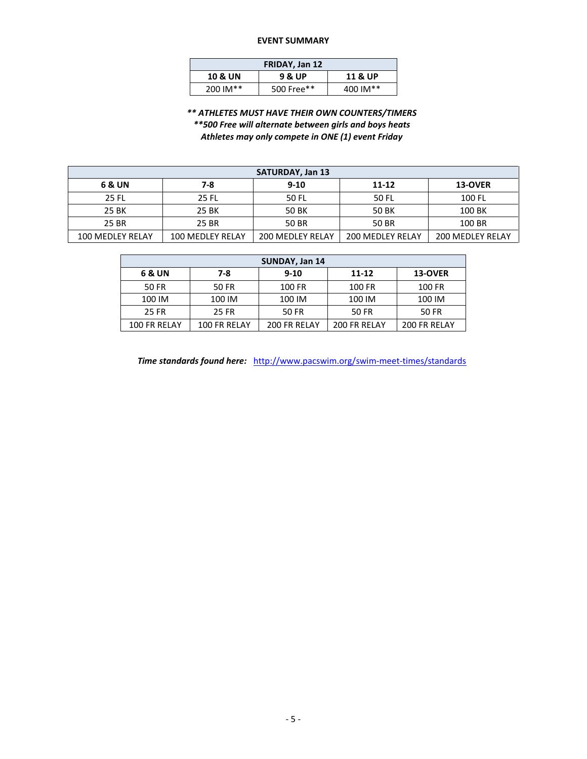#### **EVENT SUMMARY**

| FRIDAY, Jan 12     |                    |          |  |  |  |  |  |  |
|--------------------|--------------------|----------|--|--|--|--|--|--|
| <b>10 &amp; UN</b> | <b>11 &amp; UP</b> |          |  |  |  |  |  |  |
| 200 IM**           | 500 Free**         | 400 IM** |  |  |  |  |  |  |

*\*\* ATHLETES MUST HAVE THEIR OWN COUNTERS/TIMERS \*\*500 Free will alternate between girls and boys heats Athletes may only compete in ONE (1) event Friday*

| <b>SATURDAY, Jan 13</b> |                  |                         |                         |                         |  |  |  |  |  |  |
|-------------------------|------------------|-------------------------|-------------------------|-------------------------|--|--|--|--|--|--|
| 6 & UN                  | 7-8              | $9 - 10$                | 11-12                   | <b>13-OVER</b>          |  |  |  |  |  |  |
| 25 FL                   | <b>25 FL</b>     | 50 FL                   | 50 FL                   | 100 FL                  |  |  |  |  |  |  |
| 25 BK                   | 25 BK            | 50 BK                   | 50 BK                   | 100 BK                  |  |  |  |  |  |  |
| 25 BR                   | 25 BR            | 50 BR                   | 50 BR                   | 100 BR                  |  |  |  |  |  |  |
| 100 MEDLEY RELAY        | 100 MEDLEY RELAY | <b>200 MEDLEY RELAY</b> | <b>200 MEDLEY RELAY</b> | <b>200 MEDLEY RELAY</b> |  |  |  |  |  |  |

| SUNDAY, Jan 14 |              |              |              |              |  |  |  |  |  |  |
|----------------|--------------|--------------|--------------|--------------|--|--|--|--|--|--|
| 6 & UN         | $7-8$        | $9 - 10$     | 11-12        | 13-OVER      |  |  |  |  |  |  |
| 50 FR          | 50 FR        | 100 FR       | 100 FR       | 100 FR       |  |  |  |  |  |  |
| 100 IM         | 100 IM       | 100 IM       | 100 IM       | 100 IM       |  |  |  |  |  |  |
| 25 FR          | 25 FR        | 50 FR        | 50 FR        | 50 FR        |  |  |  |  |  |  |
| 100 FR RELAY   | 100 FR RELAY | 200 FR RELAY | 200 FR RELAY | 200 FR RELAY |  |  |  |  |  |  |

*Time standards found here:* <http://www.pacswim.org/swim-meet-times/standards>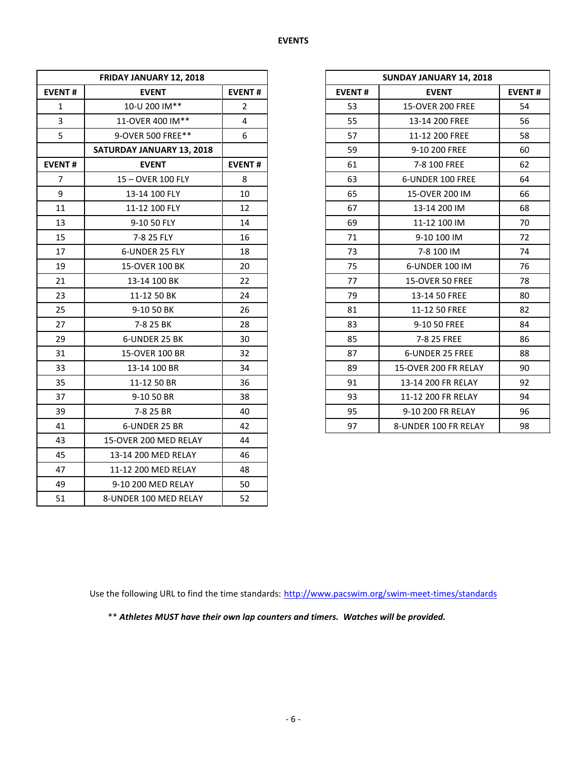| FRIDAY JANUARY 12, 2018 |                               |                |               | SUNDAY JANUARY 14, 2018 |               |
|-------------------------|-------------------------------|----------------|---------------|-------------------------|---------------|
| <b>EVENT#</b>           | <b>EVENT</b><br><b>EVENT#</b> |                | <b>EVENT#</b> | <b>EVENT</b>            | <b>EVENT#</b> |
| $\mathbf{1}$            | 10-U 200 IM**                 | $\overline{2}$ | 53            | <b>15-OVER 200 FREE</b> | 54            |
| $\overline{3}$          | 11-OVER 400 IM**              | 4              | 55            | 13-14 200 FREE          | 56            |
| 5                       | 9-OVER 500 FREE**             | 6              | 57            | 11-12 200 FREE          | 58            |
|                         | SATURDAY JANUARY 13, 2018     |                | 59            | 9-10 200 FREE           | 60            |
| <b>EVENT#</b>           | <b>EVENT</b>                  | <b>EVENT#</b>  | 61            | 7-8 100 FREE            | 62            |
| $\overline{7}$          | 15-OVER 100 FLY               | 8              | 63            | 6-UNDER 100 FREE        | 64            |
| 9                       | 13-14 100 FLY                 | 10             | 65            | 15-OVER 200 IM          | 66            |
| 11                      | 11-12 100 FLY                 | 12             | 67            | 13-14 200 IM            | 68            |
| 13                      | 9-10 50 FLY                   | 14             | 69            | 11-12 100 IM            | 70            |
| 15                      | 7-8 25 FLY                    | 16             | 71            | 9-10 100 IM             | 72            |
| 17                      | 6-UNDER 25 FLY                | 18             | 73            | 7-8 100 IM              | 74            |
| 19                      | 15-OVER 100 BK                | 20             | 75            | 6-UNDER 100 IM          | 76            |
| 21                      | 13-14 100 BK                  | 22             | 77            | 15-OVER 50 FREE         | 78            |
| 23                      | 11-12 50 BK                   | 24             | 79            | 13-14 50 FREE           | 80            |
| 25                      | 9-10 50 BK                    | 26             | 81            | 11-12 50 FREE           | 82            |
| 27                      | 7-8 25 BK                     | 28             | 83            | 9-10 50 FREE            | 84            |
| 29                      | 6-UNDER 25 BK                 | 30             | 85            | 7-8 25 FREE             | 86            |
| 31                      | 15-OVER 100 BR                | 32             | 87            | 6-UNDER 25 FREE         | 88            |
| 33                      | 13-14 100 BR                  | 34             | 89            | 15-OVER 200 FR RELAY    | 90            |
| 35                      | 11-12 50 BR                   | 36             | 91            | 13-14 200 FR RELAY      | 92            |
| 37                      | 9-10 50 BR                    | 38             | 93            | 11-12 200 FR RELAY      | 94            |
| 39                      | 7-8 25 BR                     | 40             | 95            | 9-10 200 FR RELAY       | 96            |
| 41                      | 6-UNDER 25 BR                 | 42             | 97            | 8-UNDER 100 FR RELAY    | 98            |
| 43                      | 15-OVER 200 MED RELAY         | 44             |               |                         |               |
| 45                      | 13-14 200 MED RELAY           | 46             |               |                         |               |
| 47                      | 11-12 200 MED RELAY           | 48             |               |                         |               |
| 49                      | 9-10 200 MED RELAY            | 50             |               |                         |               |
| 51                      | 8-UNDER 100 MED RELAY         | 52             |               |                         |               |

| FRIDAY JANUARY 12, 2018          |                |
|----------------------------------|----------------|
| <b>EVENT</b>                     | <b>EVENT#</b>  |
| 10-U 200 IM**                    | $\overline{2}$ |
| 11-OVER 400 IM**                 | 4              |
| 9-OVER 500 FREE**                | 6              |
| <b>SATURDAY JANUARY 13, 2018</b> |                |
| <b>EVENT</b>                     | <b>EVENT#</b>  |
| 15-OVER 100 FLY                  | 8              |
| 13-14 100 FLY                    | 10             |
| 11-12 100 FLY                    | 12             |
| 9-10 50 FLY                      | 14             |
| 7-8 25 FLY                       | 16             |
| 6-UNDER 25 FLY                   | 18             |
| 15-OVER 100 BK                   | 20             |
| 13-14 100 BK                     | 22             |
| 11-12 50 BK                      | 24             |
| 9-10 50 BK                       | 26             |
| 7-8 25 BK                        | 28             |
| 6-UNDER 25 BK                    | 30             |
| 15-OVER 100 BR                   | 32             |
| 13-14 100 BR                     | 34             |
| 11-12 50 BR                      | 36             |
| 9-10 50 BR                       | 38             |
| 7-8 25 BR                        | 40             |
| 6-UNDER 25 BR                    | 42             |

Use the following URL to find the time standards: <http://www.pacswim.org/swim-meet-times/standards>

\*\* *Athletes MUST have their own lap counters and timers. Watches will be provided.*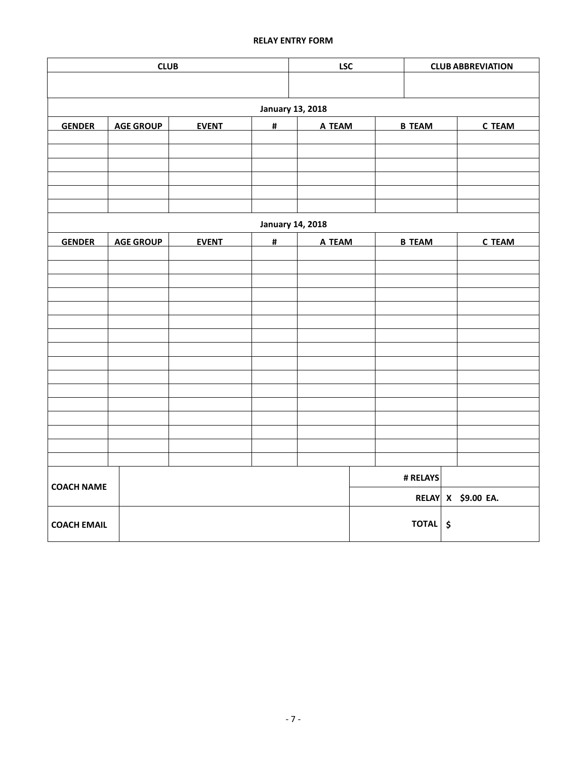# **RELAY ENTRY FORM**

| <b>CLUB</b><br><b>LSC</b> |                                       |              |                         |        |        | <b>CLUB ABBREVIATION</b> |               |                    |  |  |  |
|---------------------------|---------------------------------------|--------------|-------------------------|--------|--------|--------------------------|---------------|--------------------|--|--|--|
|                           |                                       |              |                         |        |        |                          |               |                    |  |  |  |
|                           | <b>January 13, 2018</b>               |              |                         |        |        |                          |               |                    |  |  |  |
| <b>GENDER</b>             | <b>AGE GROUP</b><br>#<br><b>EVENT</b> |              |                         |        | A TEAM | <b>B TEAM</b>            | <b>C TEAM</b> |                    |  |  |  |
|                           |                                       |              |                         |        |        |                          |               |                    |  |  |  |
|                           |                                       |              |                         |        |        |                          |               |                    |  |  |  |
|                           |                                       |              |                         |        |        |                          |               |                    |  |  |  |
|                           |                                       |              |                         |        |        |                          |               |                    |  |  |  |
|                           |                                       |              |                         |        |        |                          |               |                    |  |  |  |
|                           |                                       |              | <b>January 14, 2018</b> |        |        |                          |               |                    |  |  |  |
| <b>GENDER</b>             | <b>AGE GROUP</b>                      | <b>EVENT</b> | #                       | A TEAM |        | <b>B TEAM</b>            |               | <b>C TEAM</b>      |  |  |  |
|                           |                                       |              |                         |        |        |                          |               |                    |  |  |  |
|                           |                                       |              |                         |        |        |                          |               |                    |  |  |  |
|                           |                                       |              |                         |        |        |                          |               |                    |  |  |  |
|                           |                                       |              |                         |        |        |                          |               |                    |  |  |  |
|                           |                                       |              |                         |        |        |                          |               |                    |  |  |  |
|                           |                                       |              |                         |        |        |                          |               |                    |  |  |  |
|                           |                                       |              |                         |        |        |                          |               |                    |  |  |  |
|                           |                                       |              |                         |        |        |                          |               |                    |  |  |  |
|                           |                                       |              |                         |        |        |                          |               |                    |  |  |  |
|                           |                                       |              |                         |        |        |                          |               |                    |  |  |  |
|                           |                                       |              |                         |        |        |                          |               |                    |  |  |  |
|                           |                                       |              |                         |        |        |                          |               |                    |  |  |  |
|                           |                                       |              |                         |        |        | # RELAYS                 |               |                    |  |  |  |
| <b>COACH NAME</b>         |                                       |              |                         |        |        |                          |               |                    |  |  |  |
|                           |                                       |              |                         |        |        |                          |               | RELAY X \$9.00 EA. |  |  |  |
|                           |                                       |              |                         |        |        |                          |               |                    |  |  |  |
| <b>COACH EMAIL</b>        |                                       |              |                         |        |        | TOTAL   \$               |               |                    |  |  |  |